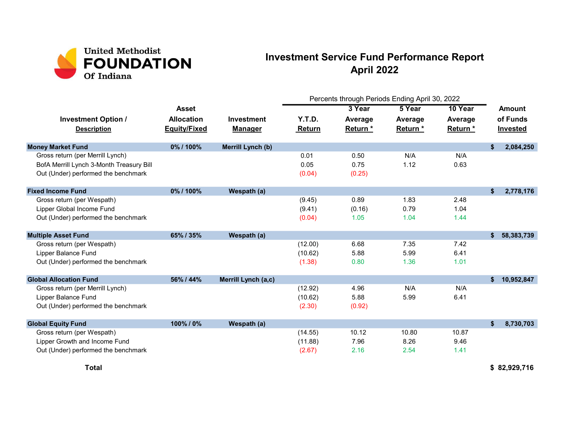

## Investment Service Fund Performance Report April 2022

|                                                  |                                          |                                     | Percents through Periods Ending April 30, 2022 |                     |                    |                     |                                       |            |
|--------------------------------------------------|------------------------------------------|-------------------------------------|------------------------------------------------|---------------------|--------------------|---------------------|---------------------------------------|------------|
|                                                  | <b>Asset</b>                             |                                     |                                                | 3 Year              | 5 Year             | 10 Year             | <b>Amount</b><br>of Funds<br>Invested |            |
| <b>Investment Option /</b><br><b>Description</b> | <b>Allocation</b><br><b>Equity/Fixed</b> | <b>Investment</b><br><b>Manager</b> | Y.T.D.<br>Return                               | Average<br>Return * | Average<br>Return* | Average<br>Return * |                                       |            |
| <b>Money Market Fund</b>                         | 0%/100%                                  | Merrill Lynch (b)                   |                                                |                     |                    |                     | \$                                    | 2,084,250  |
| Gross return (per Merrill Lynch)                 |                                          |                                     | 0.01                                           | 0.50                | N/A                | N/A                 |                                       |            |
| BofA Merrill Lynch 3-Month Treasury Bill         |                                          |                                     | 0.05                                           | 0.75                | 1.12               | 0.63                |                                       |            |
| Out (Under) performed the benchmark              |                                          |                                     | (0.04)                                         | (0.25)              |                    |                     |                                       |            |
| <b>Fixed Income Fund</b>                         | 0%/100%                                  | Wespath (a)                         |                                                |                     |                    |                     | \$                                    | 2,778,176  |
| Gross return (per Wespath)                       |                                          |                                     | (9.45)                                         | 0.89                | 1.83               | 2.48                |                                       |            |
| Lipper Global Income Fund                        |                                          |                                     | (9.41)                                         | (0.16)              | 0.79               | 1.04                |                                       |            |
| Out (Under) performed the benchmark              |                                          |                                     | (0.04)                                         | 1.05                | 1.04               | 1.44                |                                       |            |
| <b>Multiple Asset Fund</b>                       | 65%/35%                                  | Wespath (a)                         |                                                |                     |                    |                     | \$                                    | 58,383,739 |
| Gross return (per Wespath)                       |                                          |                                     | (12.00)                                        | 6.68                | 7.35               | 7.42                |                                       |            |
| Lipper Balance Fund                              |                                          |                                     | (10.62)                                        | 5.88                | 5.99               | 6.41                |                                       |            |
| Out (Under) performed the benchmark              |                                          |                                     | (1.38)                                         | 0.80                | 1.36               | 1.01                |                                       |            |
| <b>Global Allocation Fund</b>                    | 56% / 44%                                | Merrill Lynch (a,c)                 |                                                |                     |                    |                     | \$                                    | 10,952,847 |
| Gross return (per Merrill Lynch)                 |                                          |                                     | (12.92)                                        | 4.96                | N/A                | N/A                 |                                       |            |
| Lipper Balance Fund                              |                                          |                                     | (10.62)                                        | 5.88                | 5.99               | 6.41                |                                       |            |
| Out (Under) performed the benchmark              |                                          |                                     | (2.30)                                         | (0.92)              |                    |                     |                                       |            |
| <b>Global Equity Fund</b>                        | 100%/0%                                  | Wespath (a)                         |                                                |                     |                    |                     | \$                                    | 8,730,703  |
| Gross return (per Wespath)                       |                                          |                                     | (14.55)                                        | 10.12               | 10.80              | 10.87               |                                       |            |
| Lipper Growth and Income Fund                    |                                          |                                     | (11.88)                                        | 7.96                | 8.26               | 9.46                |                                       |            |
| Out (Under) performed the benchmark              |                                          |                                     | (2.67)                                         | 2.16                | 2.54               | 1.41                |                                       |            |

Total \$ 82,929,716